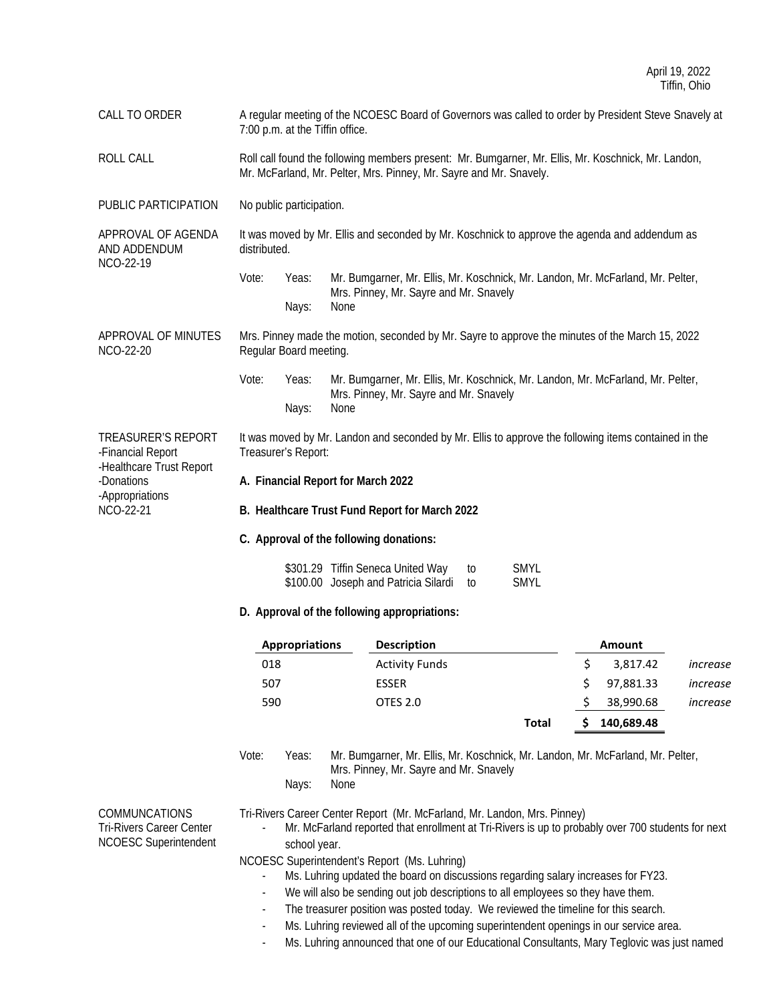CALL TO ORDER A regular meeting of the NCOESC Board of Governors was called to order by President Steve Snavely at 7:00 p.m. at the Tiffin office.

ROLL CALL CALL Roll call found the following members present: Mr. Bumgarner, Mr. Ellis, Mr. Koschnick, Mr. Landon, Mr. McFarland, Mr. Pelter, Mrs. Pinney, Mr. Sayre and Mr. Snavely.

PUBLIC PARTICIPATION No public participation.

APPROVAL OF AGENDA AND ADDENDUM NCO-22-19 It was moved by Mr. Ellis and seconded by Mr. Koschnick to approve the agenda and addendum as distributed.

> Vote: Yeas: Mr. Bumgarner, Mr. Ellis, Mr. Koschnick, Mr. Landon, Mr. McFarland, Mr. Pelter, Mrs. Pinney, Mr. Sayre and Mr. Snavely Nays: None

APPROVAL OF MINUTES NCO-22-20 Mrs. Pinney made the motion, seconded by Mr. Sayre to approve the minutes of the March 15, 2022 Regular Board meeting.

> Vote: Yeas: Mr. Bumgarner, Mr. Ellis, Mr. Koschnick, Mr. Landon, Mr. McFarland, Mr. Pelter, Mrs. Pinney, Mr. Sayre and Mr. Snavely Nays: None

TREASURER'S REPORT -Financial Report -Healthcare Trust Report -Donations -Appropriations NCO-22-21 It was moved by Mr. Landon and seconded by Mr. Ellis to approve the following items contained in the Treasurer's Report:

- **A. Financial Report for March 2022**
- **B. Healthcare Trust Fund Report for March 2022**
- **C. Approval of the following donations:**

| \$301.29 Tiffin Seneca United Way       | to | SMYL |
|-----------------------------------------|----|------|
| \$100.00 Joseph and Patricia Silardi to |    | SMYL |

**D. Approval of the following appropriations:**

| Appropriations | <b>Description</b>    |       | Amount     |          |
|----------------|-----------------------|-------|------------|----------|
| 018            | <b>Activity Funds</b> |       | 3,817.42   | increase |
| 507            | <b>ESSER</b>          |       | 97,881.33  | increase |
| 590            | OTES 2.0              |       | 38,990.68  | increase |
|                |                       | Total | 140,689.48 |          |

Vote: Yeas: Mr. Bumgarner, Mr. Ellis, Mr. Koschnick, Mr. Landon, Mr. McFarland, Mr. Pelter, Mrs. Pinney, Mr. Sayre and Mr. Snavely Nays: None

COMMUNCATIONS Tri-Rivers Career Center NCOESC Superintendent Tri-Rivers Career Center Report (Mr. McFarland, Mr. Landon, Mrs. Pinney)

Mr. McFarland reported that enrollment at Tri-Rivers is up to probably over 700 students for next school year.

NCOESC Superintendent's Report (Ms. Luhring)

- Ms. Luhring updated the board on discussions regarding salary increases for FY23.
- We will also be sending out job descriptions to all employees so they have them.
- The treasurer position was posted today. We reviewed the timeline for this search.
- Ms. Luhring reviewed all of the upcoming superintendent openings in our service area.
- Ms. Luhring announced that one of our Educational Consultants, Mary Teglovic was just named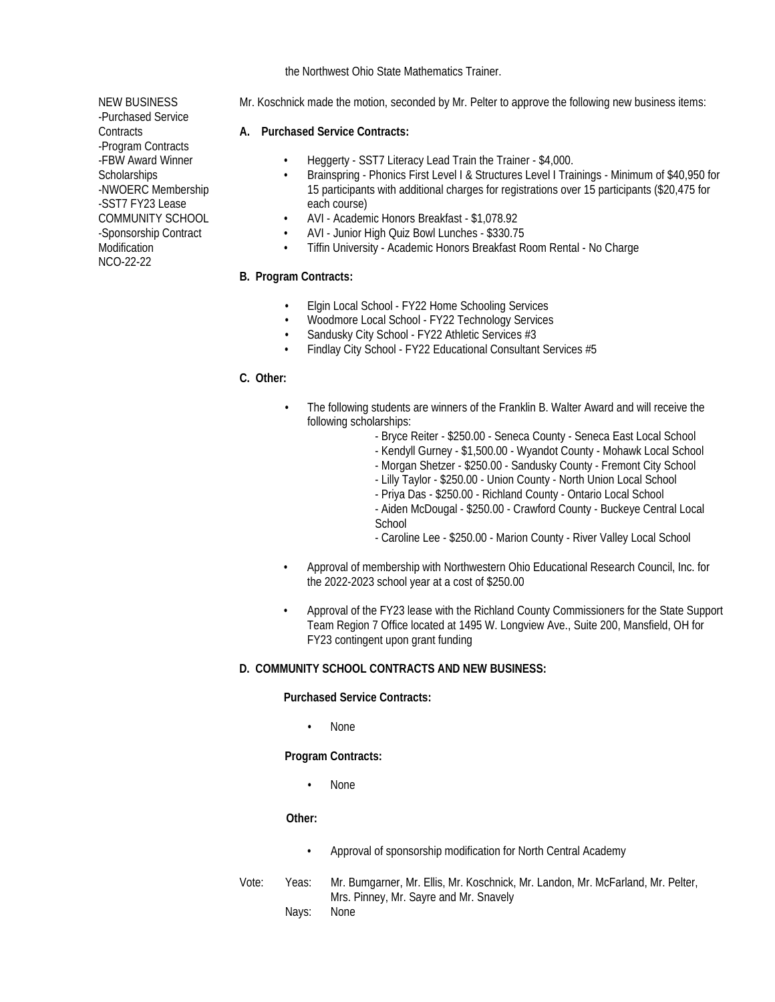the Northwest Ohio State Mathematics Trainer.

- NEW BUSINESS -Purchased Service **Contracts** -Program Contracts -FBW Award Winner **Scholarships** -NWOERC Membership -SST7 FY23 Lease COMMUNITY SCHOOL -Sponsorship Contract Modification NCO-22-22
- Mr. Koschnick made the motion, seconded by Mr. Pelter to approve the following new business items:

### **A. Purchased Service Contracts:**

- Heggerty SST7 Literacy Lead Train the Trainer \$4,000.
- Brainspring Phonics First Level I & Structures Level I Trainings Minimum of \$40,950 for 15 participants with additional charges for registrations over 15 participants (\$20,475 for each course)
- AVI Academic Honors Breakfast \$1,078.92
- AVI Junior High Quiz Bowl Lunches \$330.75
- Tiffin University Academic Honors Breakfast Room Rental No Charge

### **B. Program Contracts:**

- Elgin Local School FY22 Home Schooling Services
- Woodmore Local School FY22 Technology Services
- Sandusky City School FY22 Athletic Services #3
- Findlay City School FY22 Educational Consultant Services #5

### **C. Other:**

- The following students are winners of the Franklin B. Walter Award and will receive the following scholarships:
	- Bryce Reiter \$250.00 Seneca County Seneca East Local School
	- Kendyll Gurney \$1,500.00 Wyandot County Mohawk Local School
	- Morgan Shetzer \$250.00 Sandusky County Fremont City School
	- Lilly Taylor \$250.00 Union County North Union Local School
	- Priya Das \$250.00 Richland County Ontario Local School
	- Aiden McDougal \$250.00 Crawford County Buckeye Central Local **School**
	- Caroline Lee \$250.00 Marion County River Valley Local School
- Approval of membership with Northwestern Ohio Educational Research Council, Inc. for the 2022-2023 school year at a cost of \$250.00
- Approval of the FY23 lease with the Richland County Commissioners for the State Support Team Region 7 Office located at 1495 W. Longview Ave., Suite 200, Mansfield, OH for FY23 contingent upon grant funding

### **D. COMMUNITY SCHOOL CONTRACTS AND NEW BUSINESS:**

#### **Purchased Service Contracts:**

• None

**Program Contracts:**

• None

### **Other:**

- Approval of sponsorship modification for North Central Academy
- Vote: Yeas: Mr. Bumgarner, Mr. Ellis, Mr. Koschnick, Mr. Landon, Mr. McFarland, Mr. Pelter, Mrs. Pinney, Mr. Sayre and Mr. Snavely
	- Nays: None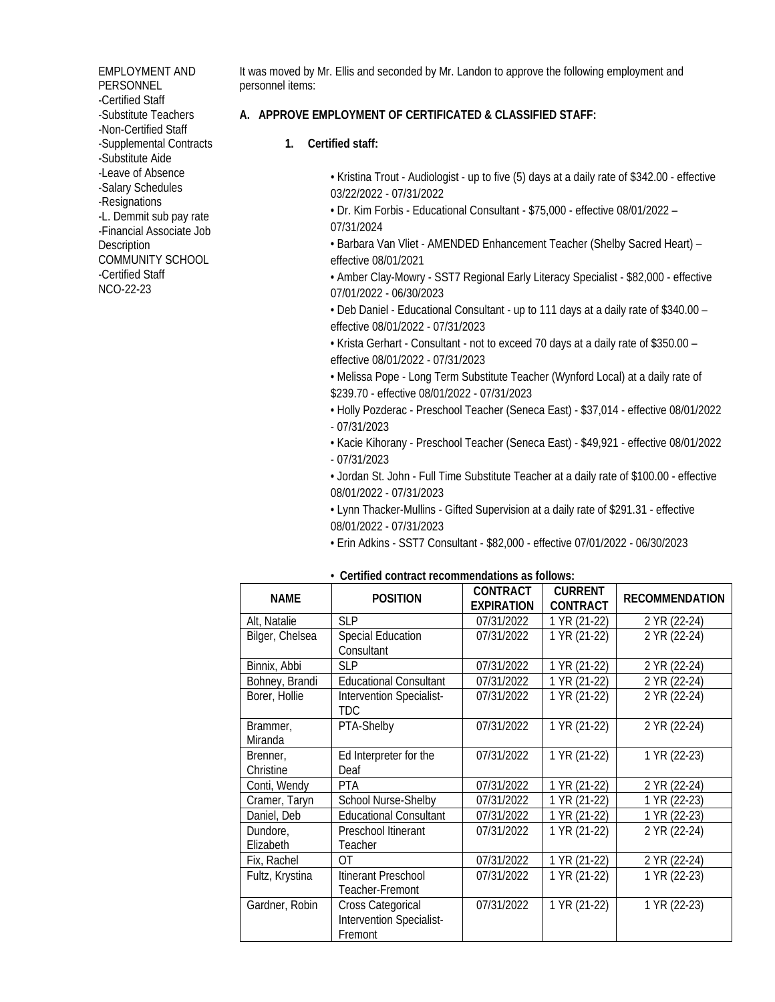EMPLOYMENT AND **PERSONNEL** -Certified Staff -Substitute Teachers -Non-Certified Staff -Supplemental Contracts -Substitute Aide -Leave of Absence -Salary Schedules -Resignations -L. Demmit sub pay rate -Financial Associate Job **Description** COMMUNITY SCHOOL -Certified Staff NCO-22-23

It was moved by Mr. Ellis and seconded by Mr. Landon to approve the following employment and personnel items:

### **A. APPROVE EMPLOYMENT OF CERTIFICATED & CLASSIFIED STAFF:**

**1. Certified staff:**

• Kristina Trout - Audiologist - up to five (5) days at a daily rate of \$342.00 - effective 03/22/2022 - 07/31/2022

• Dr. Kim Forbis - Educational Consultant - \$75,000 - effective 08/01/2022 – 07/31/2024

• Barbara Van Vliet - AMENDED Enhancement Teacher (Shelby Sacred Heart) – effective 08/01/2021

• Amber Clay-Mowry - SST7 Regional Early Literacy Specialist - \$82,000 - effective 07/01/2022 - 06/30/2023

• Deb Daniel - Educational Consultant - up to 111 days at a daily rate of \$340.00 – effective 08/01/2022 - 07/31/2023

• Krista Gerhart - Consultant - not to exceed 70 days at a daily rate of \$350.00 – effective 08/01/2022 - 07/31/2023

• Melissa Pope - Long Term Substitute Teacher (Wynford Local) at a daily rate of \$239.70 - effective 08/01/2022 - 07/31/2023

- Holly Pozderac Preschool Teacher (Seneca East) \$37,014 effective 08/01/2022 - 07/31/2023
- Kacie Kihorany Preschool Teacher (Seneca East) \$49,921 effective 08/01/2022 - 07/31/2023

• Jordan St. John - Full Time Substitute Teacher at a daily rate of \$100.00 - effective 08/01/2022 - 07/31/2023

• Lynn Thacker-Mullins - Gifted Supervision at a daily rate of \$291.31 - effective 08/01/2022 - 07/31/2023

• Erin Adkins - SST7 Consultant - \$82,000 - effective 07/01/2022 - 06/30/2023

| <b>NAME</b>           | <b>POSITION</b>                                                 | CONTRACT<br><b>EXPIRATION</b> | <b>CURRENT</b><br><b>CONTRACT</b> | <b>RECOMMENDATION</b> |
|-----------------------|-----------------------------------------------------------------|-------------------------------|-----------------------------------|-----------------------|
| Alt, Natalie          | <b>SLP</b>                                                      | 07/31/2022                    | 1 YR (21-22)                      | 2 YR (22-24)          |
| Bilger, Chelsea       | <b>Special Education</b><br>Consultant                          | 07/31/2022                    | 1 YR (21-22)                      | 2 YR (22-24)          |
| Binnix, Abbi          | <b>SLP</b>                                                      | 07/31/2022                    | 1 YR (21-22)                      | 2 YR (22-24)          |
| Bohney, Brandi        | <b>Educational Consultant</b>                                   | 07/31/2022                    | 1 YR (21-22)                      | 2 YR (22-24)          |
| Borer, Hollie         | Intervention Specialist-<br>TDC.                                | 07/31/2022                    | 1 YR (21-22)                      | 2 YR (22-24)          |
| Brammer,<br>Miranda   | PTA-Shelby                                                      | 07/31/2022                    | 1 YR (21-22)                      | 2 YR (22-24)          |
| Brenner,<br>Christine | Ed Interpreter for the<br>Deaf                                  | 07/31/2022                    | 1 YR (21-22)                      | 1 YR (22-23)          |
| Conti, Wendy          | <b>PTA</b>                                                      | 07/31/2022                    | 1 YR (21-22)                      | 2 YR (22-24)          |
| Cramer, Taryn         | School Nurse-Shelby                                             | 07/31/2022                    | 1 YR (21-22)                      | 1 YR (22-23)          |
| Daniel, Deb           | <b>Educational Consultant</b>                                   | 07/31/2022                    | 1 YR (21-22)                      | 1 YR (22-23)          |
| Dundore,<br>Elizabeth | Preschool Itinerant<br>Teacher                                  | 07/31/2022                    | 1 YR (21-22)                      | 2 YR (22-24)          |
| Fix, Rachel           | ΩT                                                              | 07/31/2022                    | 1 YR (21-22)                      | 2 YR (22-24)          |
| Fultz, Krystina       | Itinerant Preschool<br>Teacher-Fremont                          | 07/31/2022                    | 1 YR (21-22)                      | 1 YR (22-23)          |
| Gardner, Robin        | <b>Cross Categorical</b><br>Intervention Specialist-<br>Fremont | 07/31/2022                    | 1 YR (21-22)                      | 1 YR (22-23)          |

#### *•* **Certified contract recommendations as follows:**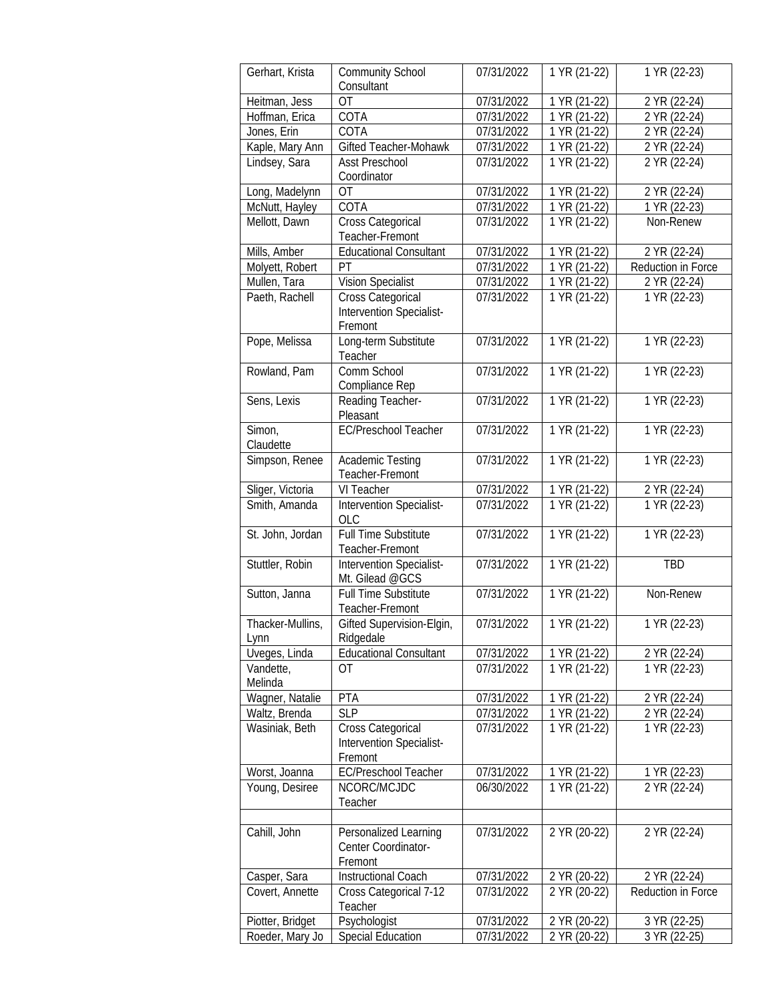| Gerhart, Krista          | <b>Community School</b><br>Consultant                    | 07/31/2022 | 1 YR (21-22)              | 1 YR (22-23)       |
|--------------------------|----------------------------------------------------------|------------|---------------------------|--------------------|
| Heitman, Jess            | <b>OT</b>                                                | 07/31/2022 | 1 YR (21-22)              | 2 YR (22-24)       |
| Hoffman, Erica           | COTA                                                     | 07/31/2022 | 1 YR (21-22)              | 2 YR (22-24)       |
| Jones, Erin              | COTA                                                     | 07/31/2022 | 1 YR (21-22)              | 2 YR (22-24)       |
| Kaple, Mary Ann          | Gifted Teacher-Mohawk                                    | 07/31/2022 | 1 YR (21-22)              | 2 YR (22-24)       |
| Lindsey, Sara            | <b>Asst Preschool</b>                                    | 07/31/2022 | 1 YR (21-22)              | 2 YR (22-24)       |
|                          | Coordinator                                              |            |                           |                    |
| Long, Madelynn           | <b>OT</b>                                                | 07/31/2022 | $1 YR (21-22)$            | 2 YR (22-24)       |
| McNutt, Hayley           | COTA                                                     | 07/31/2022 | 1 YR (21-22)              | 1 YR (22-23)       |
| Mellott, Dawn            | Cross Categorical                                        | 07/31/2022 | 1 YR (21-22)              | Non-Renew          |
|                          | Teacher-Fremont                                          |            |                           |                    |
| Mills, Amber             | <b>Educational Consultant</b>                            | 07/31/2022 | 1 YR (21-22)              | 2 YR (22-24)       |
| Molyett, Robert          | PT                                                       | 07/31/2022 | 1 YR (21-22)              | Reduction in Force |
| Mullen, Tara             | <b>Vision Specialist</b>                                 | 07/31/2022 | $\overline{1}$ YR (21-22) | 2 YR (22-24)       |
| Paeth, Rachell           | Cross Categorical<br>Intervention Specialist-<br>Fremont | 07/31/2022 | 1 YR (21-22)              | 1 YR (22-23)       |
| Pope, Melissa            | Long-term Substitute<br>Teacher                          | 07/31/2022 | 1 YR (21-22)              | 1 YR (22-23)       |
| Rowland, Pam             | Comm School<br>Compliance Rep                            | 07/31/2022 | 1 YR (21-22)              | 1 YR (22-23)       |
| Sens, Lexis              | Reading Teacher-<br>Pleasant                             | 07/31/2022 | 1 YR (21-22)              | 1 YR (22-23)       |
| Simon,<br>Claudette      | <b>EC/Preschool Teacher</b>                              | 07/31/2022 | 1 YR (21-22)              | 1 YR (22-23)       |
| Simpson, Renee           | Academic Testing<br>Teacher-Fremont                      | 07/31/2022 | 1 YR (21-22)              | 1 YR (22-23)       |
| Sliger, Victoria         | VI Teacher                                               | 07/31/2022 | 1 YR (21-22)              | 2 YR (22-24)       |
| Smith, Amanda            | <b>Intervention Specialist-</b><br><b>OLC</b>            | 07/31/2022 | $1 YR (21-22)$            | 1 YR (22-23)       |
| St. John, Jordan         | <b>Full Time Substitute</b><br>Teacher-Fremont           | 07/31/2022 | 1 YR (21-22)              | 1 YR (22-23)       |
| Stuttler, Robin          | <b>Intervention Specialist-</b><br>Mt. Gilead @GCS       | 07/31/2022 | 1 YR (21-22)              | <b>TBD</b>         |
| Sutton, Janna            | <b>Full Time Substitute</b><br>Teacher-Fremont           | 07/31/2022 | 1 YR (21-22)              | Non-Renew          |
| Thacker-Mullins,<br>Lynn | Gifted Supervision-Elgin,<br>Ridgedale                   | 07/31/2022 | 1 YR (21-22)              | 1 YR (22-23)       |
| Uveges, Linda            | <b>Educational Consultant</b>                            | 07/31/2022 | 1 YR (21-22)              | 2 YR (22-24)       |
| Vandette,                | <b>OT</b>                                                | 07/31/2022 | 1 YR (21-22)              | 1 YR (22-23)       |
| Melinda                  |                                                          |            |                           |                    |
| Wagner, Natalie          | <b>PTA</b>                                               | 07/31/2022 | 1 YR (21-22)              | 2 YR (22-24)       |
| Waltz, Brenda            | <b>SLP</b>                                               | 07/31/2022 | 1 YR (21-22)              | 2 YR (22-24)       |
| Wasiniak, Beth           | Cross Categorical<br>Intervention Specialist-<br>Fremont | 07/31/2022 | 1 YR (21-22)              | 1 YR (22-23)       |
| Worst, Joanna            | EC/Preschool Teacher                                     | 07/31/2022 | 1 YR (21-22)              | 1 YR (22-23)       |
| Young, Desiree           | NCORC/MCJDC<br>Teacher                                   | 06/30/2022 | 1 YR (21-22)              | $2 YR (22-24)$     |
|                          |                                                          |            |                           |                    |
| Cahill, John             | Personalized Learning<br>Center Coordinator-<br>Fremont  | 07/31/2022 | 2 YR (20-22)              | 2 YR (22-24)       |
| Casper, Sara             | <b>Instructional Coach</b>                               | 07/31/2022 | 2 YR (20-22)              | 2 YR (22-24)       |
| Covert, Annette          | Cross Categorical 7-12<br>Teacher                        | 07/31/2022 | 2 YR (20-22)              | Reduction in Force |
| Piotter, Bridget         | Psychologist                                             | 07/31/2022 | 2 YR (20-22)              | 3 YR (22-25)       |
| Roeder, Mary Jo          | <b>Special Education</b>                                 | 07/31/2022 | 2 YR (20-22)              | 3 YR (22-25)       |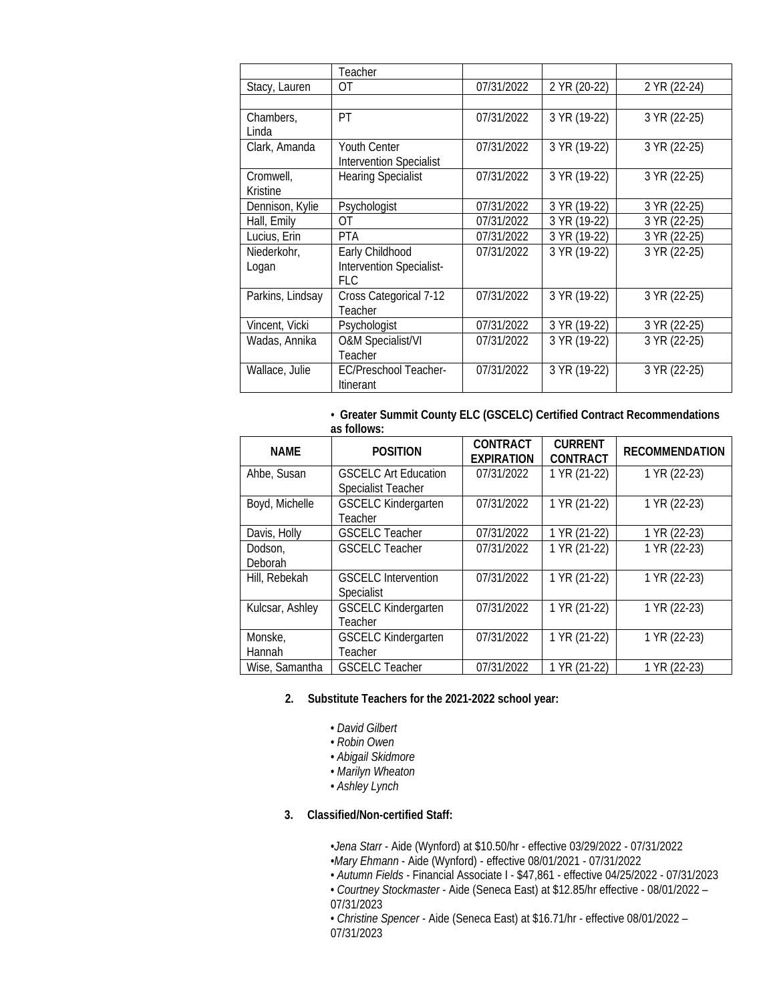|                       | Teacher                                               |            |              |              |
|-----------------------|-------------------------------------------------------|------------|--------------|--------------|
| Stacy, Lauren         | ОT                                                    | 07/31/2022 | 2 YR (20-22) | 2 YR (22-24) |
|                       |                                                       |            |              |              |
| Chambers,             | PT                                                    | 07/31/2022 | 3 YR (19-22) | 3 YR (22-25) |
| Linda                 |                                                       |            |              |              |
| Clark, Amanda         | <b>Youth Center</b><br><b>Intervention Specialist</b> | 07/31/2022 | 3 YR (19-22) | 3 YR (22-25) |
| Cromwell,<br>Kristine | <b>Hearing Specialist</b>                             | 07/31/2022 | 3 YR (19-22) | 3 YR (22-25) |
| Dennison, Kylie       | Psychologist                                          | 07/31/2022 | 3 YR (19-22) | 3 YR (22-25) |
| Hall, Emily           | 0T                                                    | 07/31/2022 | 3 YR (19-22) | 3 YR (22-25) |
| Lucius, Erin          | PTA                                                   | 07/31/2022 | 3 YR (19-22) | 3 YR (22-25) |
| Niederkohr,           | Early Childhood                                       | 07/31/2022 | 3 YR (19-22) | 3 YR (22-25) |
| Logan                 | Intervention Specialist-                              |            |              |              |
|                       | <b>FLC</b>                                            |            |              |              |
| Parkins, Lindsay      | Cross Categorical 7-12<br>Teacher                     | 07/31/2022 | 3 YR (19-22) | 3 YR (22-25) |
| Vincent, Vicki        | Psychologist                                          | 07/31/2022 | 3 YR (19-22) | 3 YR (22-25) |
| Wadas, Annika         | <b>O&amp;M Specialist/VI</b>                          | 07/31/2022 | 3 YR (19-22) | 3 YR (22-25) |
|                       | Teacher                                               |            |              |              |
| Wallace, Julie        | <b>EC/Preschool Teacher-</b><br><b>Itinerant</b>      | 07/31/2022 | 3 YR (19-22) | 3 YR (22-25) |

*•* **Greater Summit County ELC (GSCELC) Certified Contract Recommendations as follows:**

| 45 IUIIUWS.        |                                                          |                                      |                                   |                       |
|--------------------|----------------------------------------------------------|--------------------------------------|-----------------------------------|-----------------------|
| <b>NAME</b>        | <b>POSITION</b>                                          | <b>CONTRACT</b><br><b>EXPIRATION</b> | <b>CURRENT</b><br><b>CONTRACT</b> | <b>RECOMMENDATION</b> |
| Ahbe, Susan        | <b>GSCELC Art Education</b><br><b>Specialist Teacher</b> | 07/31/2022                           | 1 YR (21-22)                      | 1 YR (22-23)          |
| Boyd, Michelle     | <b>GSCELC Kindergarten</b><br>Teacher                    | 07/31/2022                           | 1 YR (21-22)                      | 1 YR (22-23)          |
| Davis, Holly       | <b>GSCELC Teacher</b>                                    | 07/31/2022                           | 1 YR (21-22)                      | 1 YR (22-23)          |
| Dodson,<br>Deborah | <b>GSCELC Teacher</b>                                    | 07/31/2022                           | 1 YR (21-22)                      | 1 YR (22-23)          |
| Hill, Rebekah      | <b>GSCELC</b> Intervention<br>Specialist                 | 07/31/2022                           | 1 YR (21-22)                      | 1 YR (22-23)          |
| Kulcsar, Ashley    | <b>GSCELC Kindergarten</b><br>Teacher                    | 07/31/2022                           | 1 YR (21-22)                      | 1 YR (22-23)          |
| Monske,<br>Hannah  | <b>GSCELC Kindergarten</b><br>Teacher                    | 07/31/2022                           | 1 YR (21-22)                      | 1 YR (22-23)          |
| Wise, Samantha     | <b>GSCELC Teacher</b>                                    | 07/31/2022                           | 1 YR (21-22)                      | 1 YR (22-23)          |

- **2. Substitute Teachers for the 2021-2022 school year:**
	- *David Gilbert*
	- *Robin Owen*
	- *Abigail Skidmore*
	- *Marilyn Wheaton*
	- *Ashley Lynch*
- **3. Classified/Non-certified Staff:**

*•Jena Starr* - Aide (Wynford) at \$10.50/hr - effective 03/29/2022 - 07/31/2022 *•Mary Ehmann* - Aide (Wynford) - effective 08/01/2021 - 07/31/2022

*• Autumn Fields -* Financial Associate I - \$47,861 - effective 04/25/2022 - 07/31/2023

• *Courtney Stockmaster* - Aide (Seneca East) at \$12.85/hr effective - 08/01/2022 – 07/31/2023

• *Christine Spencer* - Aide (Seneca East) at \$16.71/hr - effective 08/01/2022 – 07/31/2023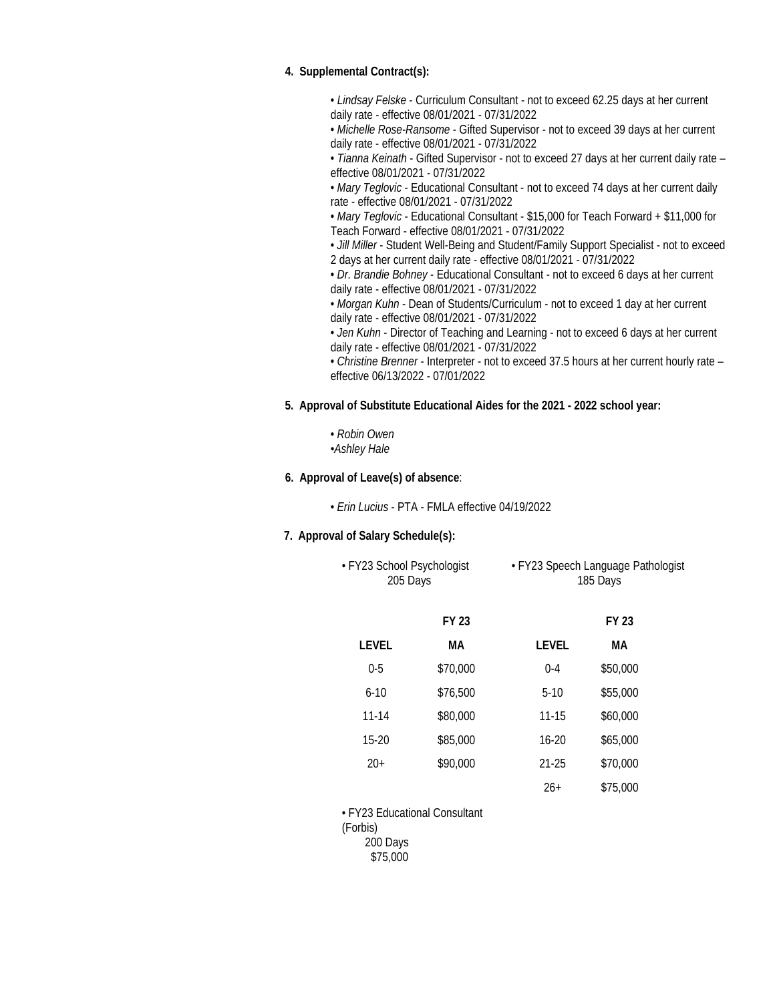### **4. Supplemental Contract(s):**

• *Lindsay Felske* - Curriculum Consultant - not to exceed 62.25 days at her current daily rate - effective 08/01/2021 - 07/31/2022

• *Michelle Rose-Ransome* - Gifted Supervisor - not to exceed 39 days at her current daily rate - effective 08/01/2021 - 07/31/2022

• *Tianna Keinath* - Gifted Supervisor - not to exceed 27 days at her current daily rate – effective 08/01/2021 - 07/31/2022

• *Mary Teglovic* - Educational Consultant - not to exceed 74 days at her current daily rate - effective 08/01/2021 - 07/31/2022

• *Mary Teglovic* - Educational Consultant - \$15,000 for Teach Forward + \$11,000 for Teach Forward - effective 08/01/2021 - 07/31/2022

• *Jill Miller* - Student Well-Being and Student/Family Support Specialist - not to exceed 2 days at her current daily rate - effective 08/01/2021 - 07/31/2022

• *Dr. Brandie Bohney* - Educational Consultant - not to exceed 6 days at her current daily rate - effective 08/01/2021 - 07/31/2022

• *Morgan Kuhn* - Dean of Students/Curriculum - not to exceed 1 day at her current daily rate - effective 08/01/2021 - 07/31/2022

• *Jen Kuhn* - Director of Teaching and Learning - not to exceed 6 days at her current daily rate - effective 08/01/2021 - 07/31/2022

• *Christine Brenner* - Interpreter - not to exceed 37.5 hours at her current hourly rate – effective 06/13/2022 - 07/01/2022

**5. Approval of Substitute Educational Aides for the 2021 - 2022 school year:**

• *Robin Owen •Ashley Hale*

**6. Approval of Leave(s) of absence**:

• *Erin Lucius* - PTA - FMLA effective 04/19/2022

### **7. Approval of Salary Schedule(s):**

| • FY23 School Psychologist | • FY23 Speech Language Pathologist |
|----------------------------|------------------------------------|
| 205 Days                   | 185 Days                           |

|           | <b>FY 23</b> |           | <b>FY 23</b> |
|-----------|--------------|-----------|--------------|
| LEVEL     | MА           | LEVEL     | MА           |
| $0 - 5$   | \$70,000     | $0 - 4$   | \$50,000     |
| $6 - 10$  | \$76,500     | $5-10$    | \$55,000     |
| $11 - 14$ | \$80,000     | $11 - 15$ | \$60,000     |
| $15-20$   | \$85,000     | $16 - 20$ | \$65,000     |
| $20+$     | \$90,000     | 21-25     | \$70,000     |
|           |              | $26+$     | \$75,000     |

• FY23 Educational Consultant (Forbis) 200 Days \$75,000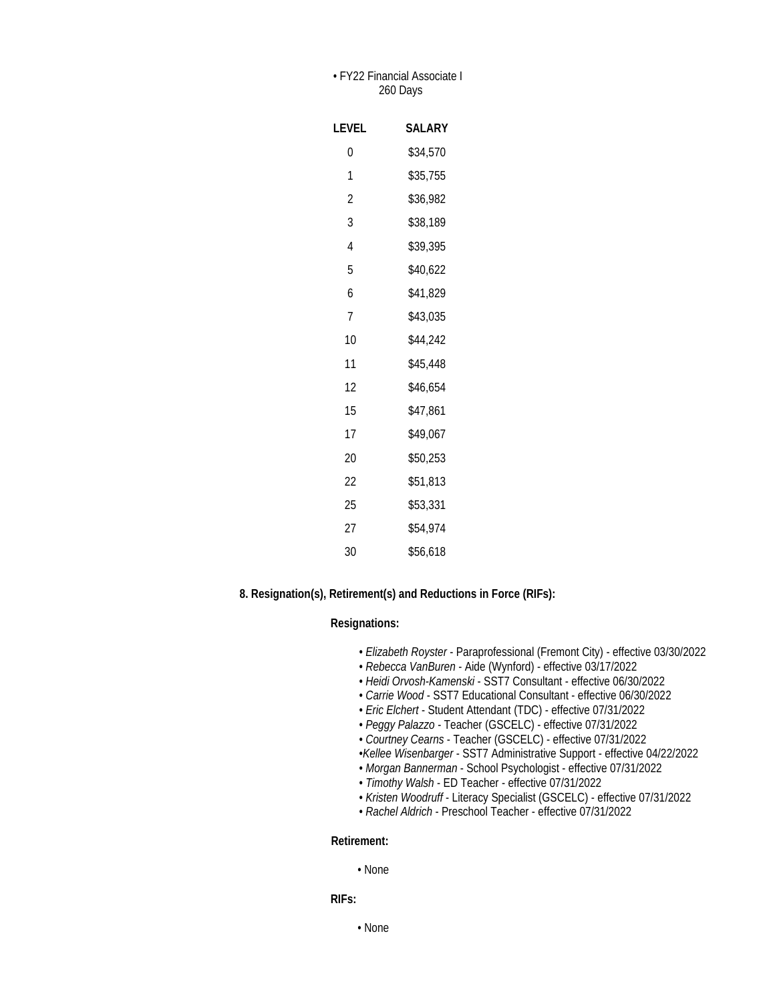### • FY22 Financial Associate I 260 Days

| LEVEL          | SALARY   |
|----------------|----------|
| 0              | \$34.570 |
| 1              | \$35,755 |
| $\overline{2}$ | \$36.982 |
| 3              | \$38,189 |
| 4              | \$39,395 |
| 5              | \$40,622 |
| 6              | \$41,829 |
| 7              | \$43.035 |
| 10             | \$44,242 |
| 11             | \$45,448 |
| 12             | \$46,654 |
| 15             | \$47,861 |
| 17             | \$49,067 |
| 20             | \$50,253 |
| 22             | \$51,813 |
| 25             | \$53,331 |
| 27             | \$54,974 |
| 30             | \$56.618 |

**8. Resignation(s), Retirement(s) and Reductions in Force (RIFs):**

#### **Resignations:**

- *Elizabeth Royster* Paraprofessional (Fremont City) effective 03/30/2022
- *Rebecca VanBuren* Aide (Wynford) effective 03/17/2022
- *Heidi Orvosh-Kamenski* SST7 Consultant effective 06/30/2022
- *Carrie Wood* SST7 Educational Consultant effective 06/30/2022
- *Eric Elchert* Student Attendant (TDC) effective 07/31/2022
- *Peggy Palazzo -* Teacher (GSCELC) effective 07/31/2022
- *Courtney Cearns* Teacher (GSCELC) effective 07/31/2022
- •*Kellee Wisenbarger* SST7 Administrative Support effective 04/22/2022
- *Morgan Bannerman* School Psychologist effective 07/31/2022
- *Timothy Walsh* ED Teacher effective 07/31/2022
- *Kristen Woodruff* Literacy Specialist (GSCELC) effective 07/31/2022
- *Rachel Aldrich* Preschool Teacher effective 07/31/2022

#### **Retirement:**

• None

**RIFs:**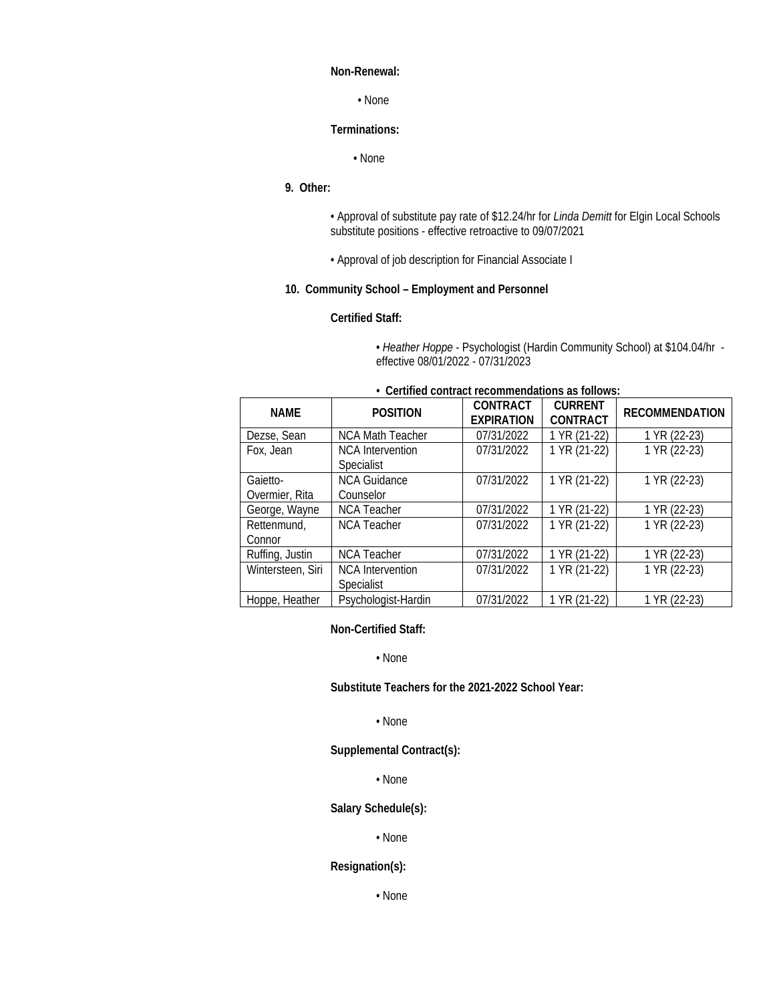#### **Non-Renewal:**

• None

### **Terminations:**

• None

### **9. Other:**

• Approval of substitute pay rate of \$12.24/hr for *Linda Demitt* for Elgin Local Schools substitute positions - effective retroactive to 09/07/2021

• Approval of job description for Financial Associate I

### **10. Community School – Employment and Personnel**

#### **Certified Staff:**

• *Heather Hoppe* - Psychologist (Hardin Community School) at \$104.04/hr effective 08/01/2022 - 07/31/2023

| <b>NAMF</b>                | <b>POSITION</b>                       | <b>CONTRACT</b><br><b>EXPIRATION</b> | <b>CURRENT</b><br><b>CONTRACT</b> | <b>RECOMMENDATION</b> |
|----------------------------|---------------------------------------|--------------------------------------|-----------------------------------|-----------------------|
| Dezse, Sean                | <b>NCA Math Teacher</b>               | 07/31/2022                           | 1 YR (21-22)                      | 1 YR (22-23)          |
| Fox, Jean                  | <b>NCA</b> Intervention<br>Specialist | 07/31/2022                           | 1 YR (21-22)                      | 1 YR (22-23)          |
| Gaietto-<br>Overmier, Rita | <b>NCA Guidance</b><br>Counselor      | 07/31/2022                           | 1 YR (21-22)                      | 1 YR (22-23)          |
| George, Wayne              | <b>NCA Teacher</b>                    | 07/31/2022                           | 1 YR (21-22)                      | 1 YR (22-23)          |
| Rettenmund,<br>Connor      | <b>NCA Teacher</b>                    | 07/31/2022                           | 1 YR (21-22)                      | 1 YR (22-23)          |
| Ruffing, Justin            | <b>NCA Teacher</b>                    | 07/31/2022                           | 1 YR (21-22)                      | 1 YR (22-23)          |
| Wintersteen, Siri          | <b>NCA</b> Intervention<br>Specialist | 07/31/2022                           | 1 YR (21-22)                      | 1 YR (22-23)          |
| Hoppe, Heather             | Psychologist-Hardin                   | 07/31/2022                           | 1 YR (21-22)                      | 1 YR (22-23)          |

# *•* **Certified contract recommendations as follows:**

**Non-Certified Staff:**

• None

**Substitute Teachers for the 2021-2022 School Year:**

• None

**Supplemental Contract(s):**

• None

**Salary Schedule(s):**

• None

### **Resignation(s):**

• None